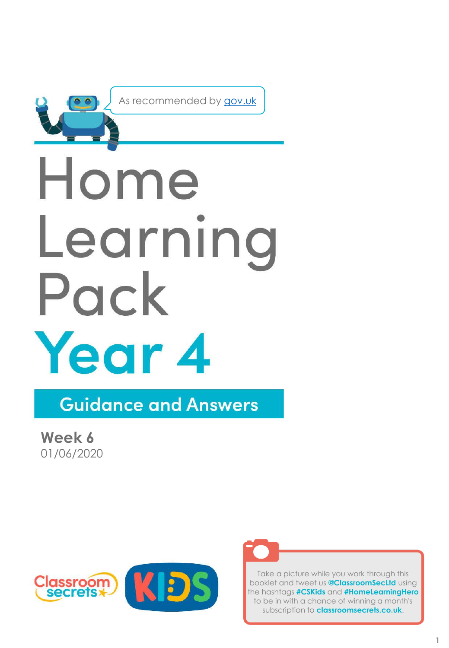

As recommended by [gov.uk](https://www.gov.uk/government/publications/coronavirus-covid-19-online-education-resources/coronavirus-covid-19-list-of-online-education-resources-for-home-education?)

# Home Learning Pack Year 4

**Guidance and Answers** 

**Week 6** 01/06/2020





Take a picture while you work through this booklet and tweet us **@ClassroomSecLtd** using the hashtags **#CSKids** and **#HomeLearningHero**  to be in with a chance of winning a month's subscription to **classroomsecrets.co.uk**.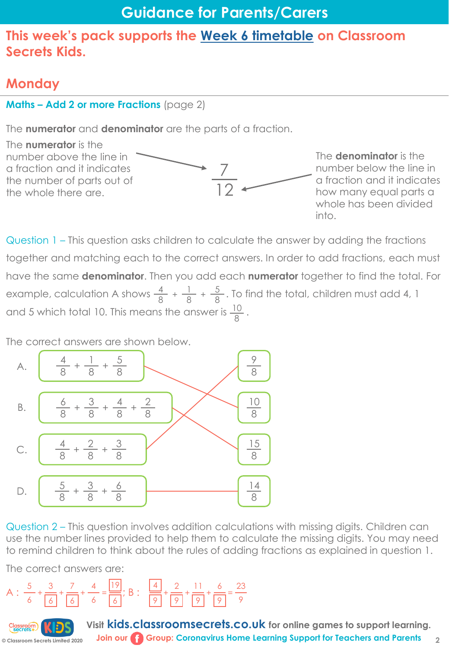# **Monday**

#### **Maths – Add 2 or more Fractions** (page 2)

The **numerator** and **denominator** are the parts of a fraction.



Question 1 – This question asks children to calculate the answer by adding the fractions together and matching each to the correct answers. In order to add fractions, each must have the same **denominator**. Then you add each **numerator** together to find the total. For example, calculation A shows  $\frac{4}{8} + \frac{1}{8} + \frac{5}{8}$ . To find the total, children must add 4, 1 and 5 which total 10. This means the answer is  $\frac{10}{2}$ . 8 8 8 8

The correct answers are shown below.



Question 2 – This question involves addition calculations with missing digits. Children can use the number lines provided to help them to calculate the missing digits. You may need to remind children to think about the rules of adding fractions as explained in question 1.

The correct answers are:



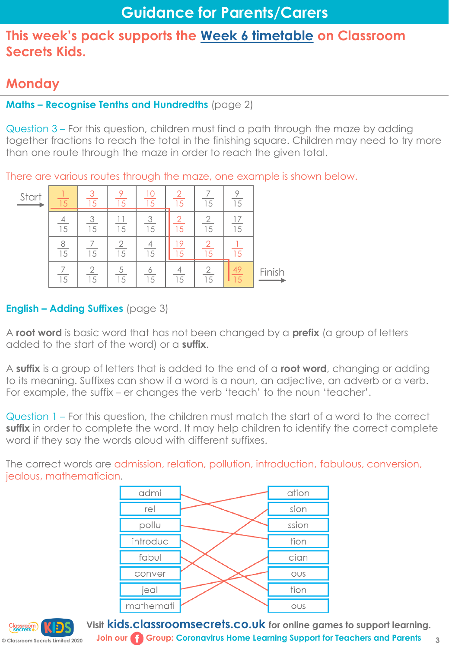# **Monday**

#### **Maths – Recognise Tenths and Hundredths** (page 2)

Question 3 – For this question, children must find a path through the maze by adding together fractions to reach the total in the finishing square. Children may need to try more than one route through the maze in order to reach the given total.

There are various routes through the maze, one example is shown below.

| Start |                 |                      |                 | 10      | 15 | 1.5 | 15 |        |
|-------|-----------------|----------------------|-----------------|---------|----|-----|----|--------|
|       | $\overline{15}$ | ↷<br>$\overline{15}$ | $\overline{15}$ | 3<br>15 | 15 | 15  | 15 |        |
|       | $\overline{15}$ | 15                   | ∩<br>15         | 15      |    |     |    |        |
|       | 15              | ⌒<br>15              | 5<br>15         | 15      | 15 | 15  |    | Finish |

#### **English – Adding Suffixes** (page 3)

A **root word** is basic word that has not been changed by a **prefix** (a group of letters added to the start of the word) or a **suffix**.

A **suffix** is a group of letters that is added to the end of a **root word**, changing or adding to its meaning. Suffixes can show if a word is a noun, an adjective, an adverb or a verb. For example, the suffix – er changes the verb 'teach' to the noun 'teacher'.

Question 1 – For this question, the children must match the start of a word to the correct **suffix** in order to complete the word. It may help children to identify the correct complete word if they say the words aloud with different suffixes.

The correct words are admission, relation, pollution, introduction, fabulous, conversion, jealous, mathematician.

| admi      | ation |
|-----------|-------|
| rel       | sion  |
| pollu     | ssion |
| introduc  | tion  |
| fabul     | cian  |
| conver    | OUS   |
| jeal      | tion  |
| mathemati | OUS   |

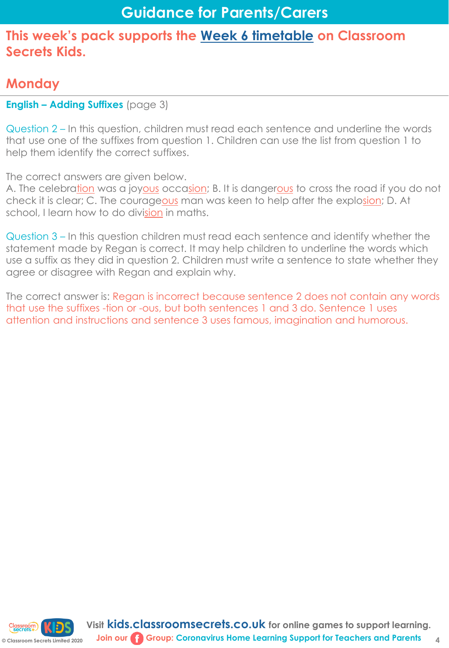# **Monday**

#### **English – Adding Suffixes** (page 3)

Question 2 – In this question, children must read each sentence and underline the words that use one of the suffixes from question 1. Children can use the list from question 1 to help them identify the correct suffixes.

The correct answers are given below.

A. The celebration was a joyous occasion; B. It is dangerous to cross the road if you do not check it is clear; C. The courageous man was keen to help after the explosion; D. At school, I learn how to do division in maths.

Question 3 – In this question children must read each sentence and identify whether the statement made by Regan is correct. It may help children to underline the words which use a suffix as they did in question 2. Children must write a sentence to state whether they agree or disagree with Regan and explain why.

The correct answer is: Regan is incorrect because sentence 2 does not contain any words that use the suffixes -tion or -ous, but both sentences 1 and 3 do. Sentence 1 uses attention and instructions and sentence 3 uses famous, imagination and humorous.

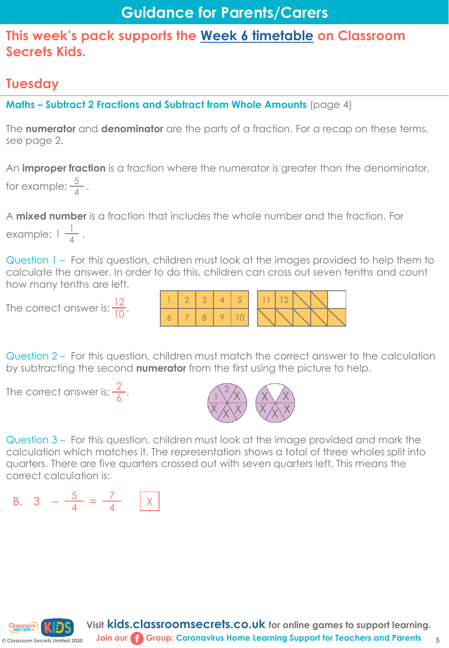# **Guidance for Parents/Carers**

#### **This week's pack supports the [Week 6 timetable](https://kids.classroomsecrets.co.uk/home-learning-timetable/) on Classroom Secrets Kids.**

## **Tuesday**

**Maths – Subtract 2 Fractions and Subtract from Whole Amounts** (page 4)

The **numerator** and **denominator** are the parts of a fraction. For a recap on these terms, see page 2.

An **improper fraction** is a fraction where the numerator is greater than the denominator, for example:  $\frac{5}{4}$ . 4

A **mixed number** is a fraction that includes the whole number and the fraction. For example:  $1\frac{1}{4}$ . 4

Question 1 – For this question, children must look at the images provided to help them to calculate the answer. In order to do this, children can cross out seven tenths and count how many tenths are left.

The correct answer is:  $\frac{12}{10}$ . 10



Question 2 – For this question, children must match the correct answer to the calculation by subtracting the second **numerator** from the first using the picture to help.

The correct answer is;  $\frac{2}{\sqrt{2}}$ .



Question 3 – For this question, children must look at the image provided and mark the calculation which matches it. The representation shows a total of three wholes split into quarters. There are five quarters crossed out with seven quarters left. This means the correct calculation is:

B. 
$$
3 - \frac{5}{4} = \frac{7}{4}
$$
 x

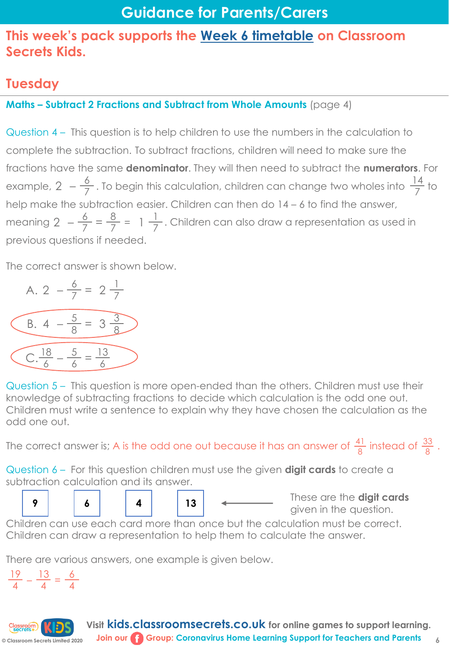# **Tuesday**

**Maths – Subtract 2 Fractions and Subtract from Whole Amounts** (page 4)

Question 4 – This question is to help children to use the numbers in the calculation to complete the subtraction. To subtract fractions, children will need to make sure the fractions have the same **denominator**. They will then need to subtract the **numerators**. For example, 2  $-\frac{6}{7}$ . To begin this calculation, children can change two wholes into  $\frac{14}{7}$  to help make the subtraction easier. Children can then do 14 – 6 to find the answer, meaning 2  $-\frac{6}{7}=\frac{8}{7}$  = 1  $\frac{1}{7}$ . Children can also draw a representation as used in previous questions if needed. 7  $7 - 7 - 7$ 14 7

The correct answer is shown below.



Question 5 – This question is more open-ended than the others. Children must use their knowledge of subtracting fractions to decide which calculation is the odd one out. Children must write a sentence to explain why they have chosen the calculation as the odd one out.

The correct answer is; A is the odd one out because it has an answer of  $\frac{41}{8}$  instead of  $\frac{33}{8}$  . 8 33 8

Question 6 – For this question children must use the given **digit cards** to create a subtraction calculation and its answer.

These are the **digit cards**  given in the question. **<sup>9</sup> <sup>6</sup> <sup>4</sup> <sup>13</sup>**

Children can use each card more than once but the calculation must be correct. Children can draw a representation to help them to calculate the answer.

There are various answers, one example is given below.

 $\frac{19}{4} - \frac{13}{4} = \frac{6}{4}$ 4 4 4

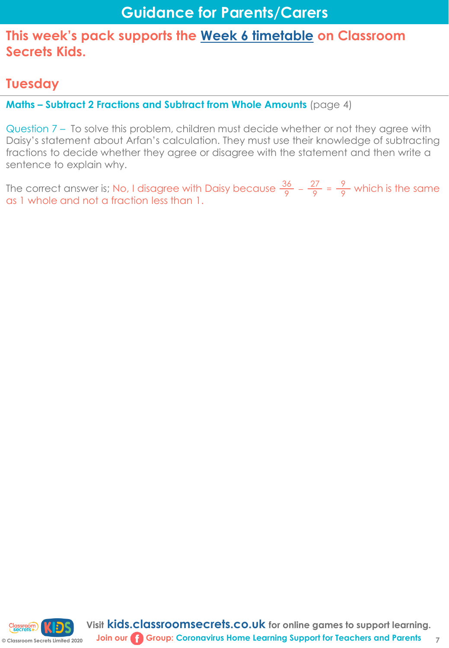## **Tuesday**

**Maths – Subtract 2 Fractions and Subtract from Whole Amounts** (page 4)

Question 7 – To solve this problem, children must decide whether or not they agree with Daisy's statement about Arfan's calculation. They must use their knowledge of subtracting fractions to decide whether they agree or disagree with the statement and then write a sentence to explain why.

The correct answer is; No, I disagree with Daisy because  $\frac{36}{8} - \frac{27}{8} = \frac{9}{8}$  which is the same as 1 whole and not a fraction less than 1. 9 9 9

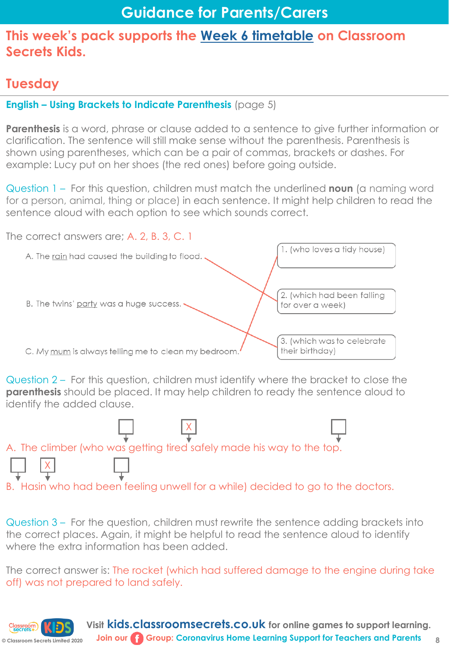# **Tuesday**

#### **English – Using Brackets to Indicate Parenthesis** (page 5)

**Parenthesis** is a word, phrase or clause added to a sentence to give further information or clarification. The sentence will still make sense without the parenthesis. Parenthesis is shown using parentheses, which can be a pair of commas, brackets or dashes. For example: Lucy put on her shoes (the red ones) before going outside.

Question 1 – For this question, children must match the underlined **noun** (a naming word for a person, animal, thing or place) in each sentence. It might help children to read the sentence aloud with each option to see which sounds correct.



Question 2 – For this question, children must identify where the bracket to close the **parenthesis** should be placed. It may help children to ready the sentence aloud to identify the added clause.



Question 3 – For the question, children must rewrite the sentence adding brackets into the correct places. Again, it might be helpful to read the sentence aloud to identify where the extra information has been added.

The correct answer is: The rocket (which had suffered damage to the engine during take off) was not prepared to land safely.

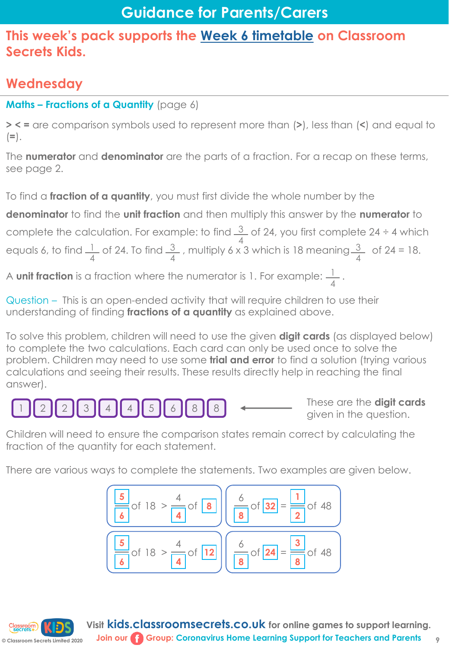# **Wednesday**

#### **Maths – Fractions of a Quantity** (page 6)

**> < =** are comparison symbols used to represent more than (**>**), less than (**<**) and equal to (**=**).

The **numerator** and **denominator** are the parts of a fraction. For a recap on these terms, see page 2.

To find a **fraction of a quantity**, you must first divide the whole number by the

**denominator** to find the **unit fraction** and then multiply this answer by the **numerator** to complete the calculation. For example: to find  $\frac{3}{2}$  of 24, you first complete 24 ÷ 4 which equals 6, to find  $\frac{1}{2}$  of 24. To find  $\frac{3}{2}$ , multiply 6 x 3 which is 18 meaning  $\frac{3}{2}$  of 24 = 18. 4 3 4 1 4 3 4

A **unit fraction** is a fraction where the numerator is 1. For example:  $\frac{1}{2}$ . 4

Question – This is an open-ended activity that will require children to use their understanding of finding **fractions of a quantity** as explained above.

To solve this problem, children will need to use the given **digit cards** (as displayed below) to complete the two calculations. Each card can only be used once to solve the problem. Children may need to use some **trial and error** to find a solution (trying various calculations and seeing their results. These results directly help in reaching the final answer).

> These are the **digit cards**   $\frac{3}{4}$   $\begin{bmatrix} 4 \\ 4 \end{bmatrix}$   $\begin{bmatrix} 5 \\ 6 \end{bmatrix}$   $\begin{bmatrix} 8 \\ 8 \end{bmatrix}$   $\begin{bmatrix} 8 \\ 3 \end{bmatrix}$   $\begin{bmatrix} 4 \\ 2 \end{bmatrix}$   $\begin{bmatrix} 4 \\ 5 \end{bmatrix}$   $\begin{bmatrix} 6 \\ 6 \end{bmatrix}$   $\begin{bmatrix} 8 \\ 8 \end{bmatrix}$   $\begin{bmatrix} 8 \\ 2 \end{bmatrix}$   $\begin{bmatrix} 4 \\ 2 \end{bmatrix}$   $\begin{bmatrix} 10 \\$

Children will need to ensure the comparison states remain correct by calculating the fraction of the quantity for each statement.

There are various ways to complete the statements. Two examples are given below.

| $\frac{5}{6}$ of 18 > $\frac{4}{4}$ of 8  | $\frac{6}{8}$ of 32 = $\frac{1}{2}$ of 48 |
|-------------------------------------------|-------------------------------------------|
| $\frac{5}{6}$ of 18 > $\frac{4}{4}$ of 12 | $\frac{6}{8}$ of 24 = $\frac{3}{8}$ of 48 |

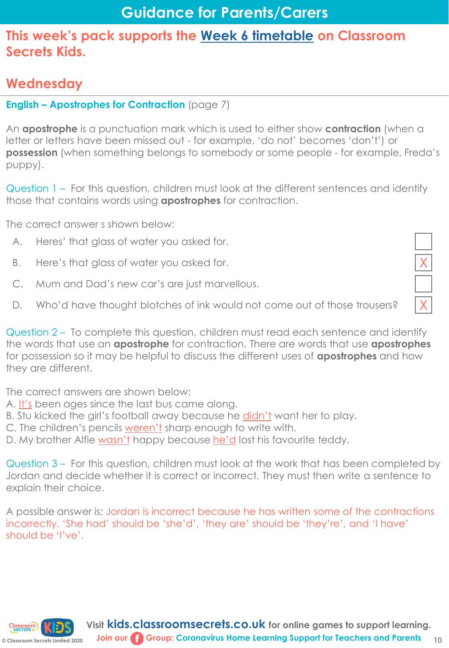## **Wednesday**

#### **English – Apostrophes for Contraction** (page 7)

An **apostrophe** is a punctuation mark which is used to either show **contraction** (when a letter or letters have been missed out - for example, 'do not' becomes 'don't') or **possession** (when something belongs to somebody or some people - for example, Freda's puppy).

Question 1 – For this question, children must look at the different sentences and identify those that contains words using **apostrophes** for contraction.

The correct answer s shown below:

- A. Heres' that glass of water you asked for.
- 
- B. Here's that glass of water you asked for.<br>
C. Mum and Dad's new car's are just marvellous. C. Mum and Dad's new car's are just marvellous.
- D. Who'd have thought blotches of ink would not come out of those trousers?

| Question 2 – To complete this question, children must read each sentence and identify                |
|------------------------------------------------------------------------------------------------------|
| the words that use an <b>apostrophe</b> for contraction. There are words that use <b>apostrophes</b> |
| for possession so it may be helpful to discuss the different uses of <b>apostrophes</b> and how      |
| they are different.                                                                                  |

The correct answers are shown below;

- A. It's been ages since the last bus came along.
- B. Stu kicked the girl's football away because he didn't want her to play.
- C. The children's pencils weren't sharp enough to write with.
- D. My brother Alfie wasn't happy because he'd lost his favourite teddy.

Question 3 – For this question, children must look at the work that has been completed by Jordan and decide whether it is correct or incorrect. They must then write a sentence to explain their choice.

A possible answer is; Jordan is incorrect because he has written some of the contractions incorrectly. 'She had' should be 'she'd', 'they are' should be 'they're', and 'I have' should be 'I've'.

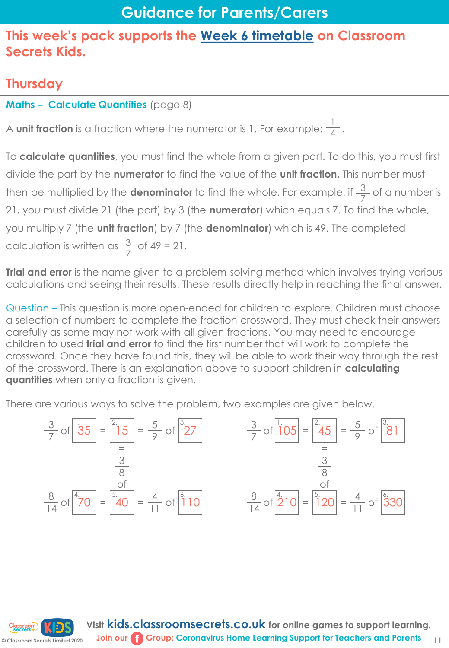### **Thursday**

#### **Maths – Calculate Quantities** (page 8)

**od** 2020

A **unit fraction** is a fraction where the numerator is 1. For example:  $\frac{1}{4}$ . 4

To **calculate quantities**, you must find the whole from a given part. To do this, you must first divide the part by the **numerator** to find the value of the **unit fraction.** This number must then be multiplied by the **denominator** to find the whole. For example: if  $\frac{3}{7}$  of a number is 21, you must divide 21 (the part) by 3 (the **numerator**) which equals 7. To find the whole, you multiply 7 (the **unit fraction**) by 7 (the **denominator**) which is 49. The completed calculation is written as  $\frac{3}{2}$  of 49 = 21. 7 7

**Trial and error** is the name given to a problem-solving method which involves trying various calculations and seeing their results. These results directly help in reaching the final answer.

Question – This question is more open-ended for children to explore. Children must choose a selection of numbers to complete the fraction crossword. They must check their answers carefully as some may not work with all given fractions. You may need to encourage children to used **trial and error** to find the first number that will work to complete the crossword. Once they have found this, they will be able to work their way through the rest of the crossword. There is an explanation above to support children in **calculating quantities** when only a fraction is given.

There are various ways to solve the problem, two examples are given below.

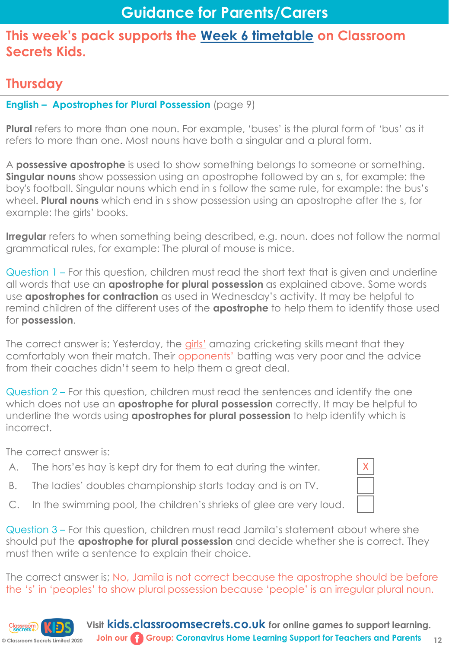## **Thursday**

#### **English – Apostrophes for Plural Possession** (page 9)

**Plural** refers to more than one noun. For example, 'buses' is the plural form of 'bus' as it refers to more than one. Most nouns have both a singular and a plural form.

A **possessive apostrophe** is used to show something belongs to someone or something. **Singular nouns** show possession using an apostrophe followed by an s, for example: the boy's football. Singular nouns which end in s follow the same rule, for example: the bus's wheel. **Plural nouns** which end in s show possession using an apostrophe after the s, for example: the girls' books.

**Irregular** refers to when something being described, e.g. noun. does not follow the normal grammatical rules, for example: The plural of mouse is mice.

Question 1 – For this question, children must read the short text that is given and underline all words that use an **apostrophe for plural possession** as explained above. Some words use **apostrophes for contraction** as used in Wednesday's activity. It may be helpful to remind children of the different uses of the **apostrophe** to help them to identify those used for **possession**.

The correct answer is; Yesterday, the girls' amazing cricketing skills meant that they comfortably won their match. Their opponents' batting was very poor and the advice from their coaches didn't seem to help them a great deal.

Question 2 – For this question, children must read the sentences and identify the one which does not use an **apostrophe for plural possession** correctly. It may be helpful to underline the words using **apostrophes for plural possession** to help identify which is incorrect.

The correct answer is:

- A. The hors'es hay is kept dry for them to eat during the winter.  $\mathsf{X}$
- B. The ladies' doubles championship starts today and is on TV.
- C. In the swimming pool, the children's shrieks of glee are very loud.

Question 3 – For this question, children must read Jamila's statement about where she should put the **apostrophe for plural possession** and decide whether she is correct. They must then write a sentence to explain their choice.

The correct answer is; No, Jamila is not correct because the apostrophe should be before the 's' in 'peoples' to show plural possession because 'people' is an irregular plural noun.



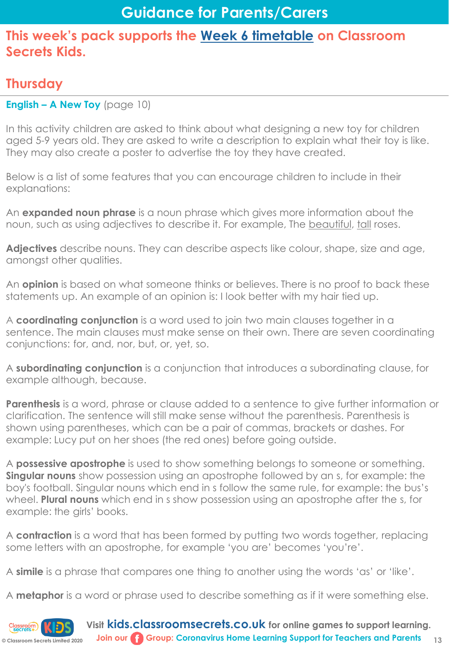## **Thursday**

**English – A New Toy** (page 10)

In this activity children are asked to think about what designing a new toy for children aged 5-9 years old. They are asked to write a description to explain what their toy is like. They may also create a poster to advertise the toy they have created.

Below is a list of some features that you can encourage children to include in their explanations:

An **expanded noun phrase** is a noun phrase which gives more information about the noun, such as using adjectives to describe it. For example, The beautiful, tall roses.

**Adjectives** describe nouns. They can describe aspects like colour, shape, size and age, amongst other qualities.

An **opinion** is based on what someone thinks or believes. There is no proof to back these statements up. An example of an opinion is: I look better with my hair tied up.

A **coordinating conjunction** is a word used to join two main clauses together in a sentence. The main clauses must make sense on their own. There are seven coordinating conjunctions: for, and, nor, but, or, yet, so.

A **subordinating conjunction** is a conjunction that introduces a subordinating clause, for example although, because.

**Parenthesis** is a word, phrase or clause added to a sentence to give further information or clarification. The sentence will still make sense without the parenthesis. Parenthesis is shown using parentheses, which can be a pair of commas, brackets or dashes. For example: Lucy put on her shoes (the red ones) before going outside.

A **possessive apostrophe** is used to show something belongs to someone or something. **Singular nouns** show possession using an apostrophe followed by an s, for example: the boy's football. Singular nouns which end in s follow the same rule, for example: the bus's wheel. **Plural nouns** which end in s show possession using an apostrophe after the s, for example: the girls' books.

A **contraction** is a word that has been formed by putting two words together, replacing some letters with an apostrophe, for example 'you are' becomes 'you're'.

A **simile** is a phrase that compares one thing to another using the words 'as' or 'like'.

A **metaphor** is a word or phrase used to describe something as if it were something else.

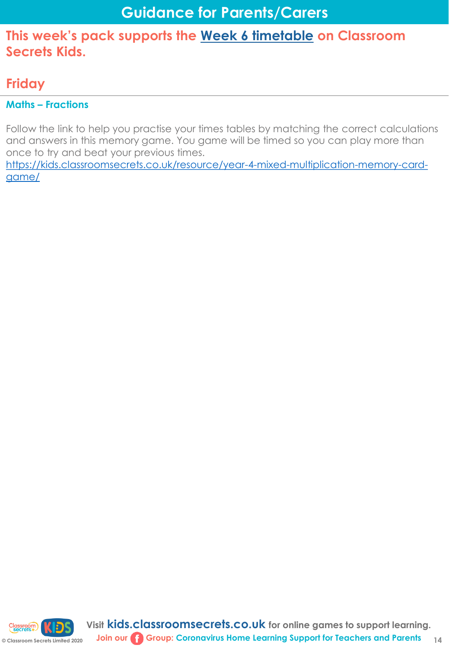## **Friday**

#### **Maths – Fractions**

Follow the link to help you practise your times tables by matching the correct calculations and answers in this memory game. You game will be timed so you can play more than once to try and beat your previous times.

[https://kids.classroomsecrets.co.uk/resource/year-4-mixed-multiplication-memory-card](https://kids.classroomsecrets.co.uk/resource/year-4-mixed-multiplication-memory-card-game/)game/

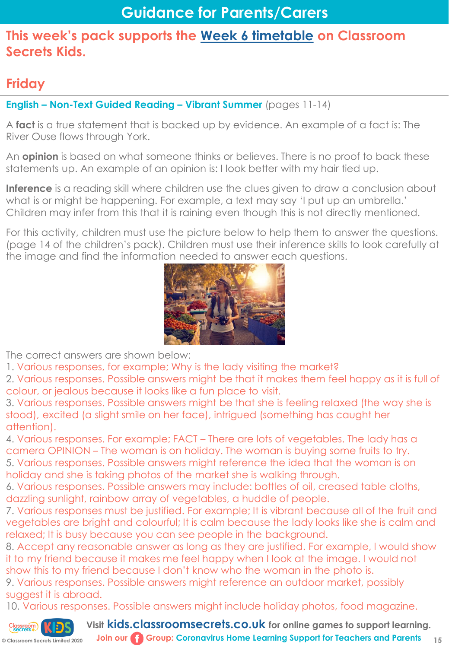## **Friday**

**English – Non-Text Guided Reading – Vibrant Summer** (pages 11-14)

A **fact** is a true statement that is backed up by evidence. An example of a fact is: The River Ouse flows through York.

An **opinion** is based on what someone thinks or believes. There is no proof to back these statements up. An example of an opinion is: I look better with my hair tied up.

**Inference** is a reading skill where children use the clues given to draw a conclusion about what is or might be happening. For example, a text may say 'I put up an umbrella.' Children may infer from this that it is raining even though this is not directly mentioned.

For this activity, children must use the picture below to help them to answer the questions. (page 14 of the children's pack). Children must use their inference skills to look carefully at the image and find the information needed to answer each questions.



The correct answers are shown below:

1. Various responses, for example; Why is the lady visiting the market?

2. Various responses. Possible answers might be that it makes them feel happy as it is full of colour, or jealous because it looks like a fun place to visit.

3. Various responses. Possible answers might be that she is feeling relaxed (the way she is stood), excited (a slight smile on her face), intrigued (something has caught her attention).

4. Various responses. For example; FACT – There are lots of vegetables. The lady has a camera OPINION – The woman is on holiday. The woman is buying some fruits to try.

5. Various responses. Possible answers might reference the idea that the woman is on holiday and she is taking photos of the market she is walking through.

6. Various responses. Possible answers may include: bottles of oil, creased table cloths, dazzling sunlight, rainbow array of vegetables, a huddle of people.

7. Various responses must be justified. For example; It is vibrant because all of the fruit and vegetables are bright and colourful; It is calm because the lady looks like she is calm and relaxed; It is busy because you can see people in the background.

8. Accept any reasonable answer as long as they are justified. For example, I would show it to my friend because it makes me feel happy when I look at the image. I would not show this to my friend because I don't know who the woman in the photo is.

9. Various responses. Possible answers might reference an outdoor market, possibly suggest it is abroad.

10. Various responses. Possible answers might include holiday photos, food magazine.

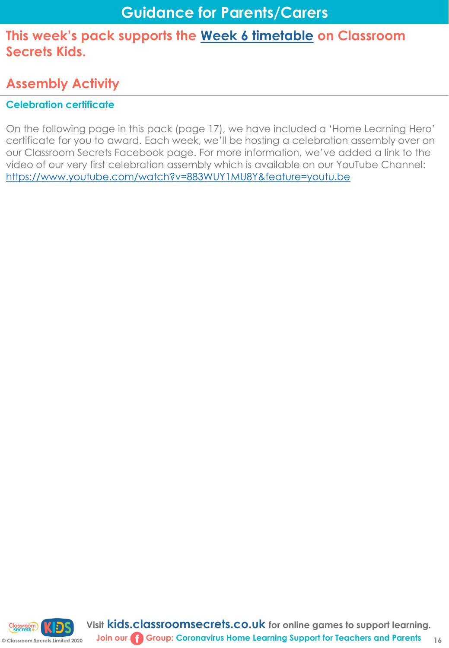# **Assembly Activity**

#### **Celebration certificate**

On the following page in this pack (page 17), we have included a 'Home Learning Hero' certificate for you to award. Each week, we'll be hosting a celebration assembly over on our Classroom Secrets Facebook page. For more information, we've added a link to the video of our very first celebration assembly which is available on our YouTube Channel: <https://www.youtube.com/watch?v=883WUY1MU8Y&feature=youtu.be>

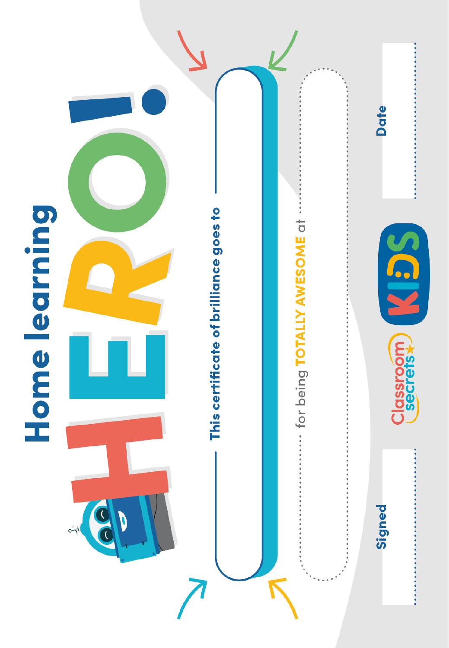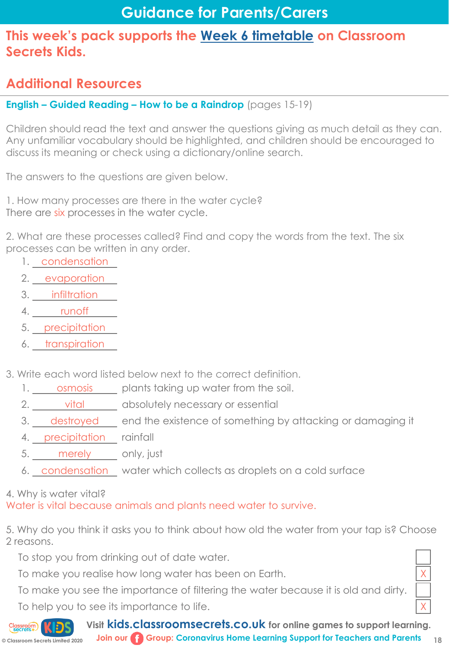# **Guidance for Parents/Carers**

#### **This week's pack supports the [Week 6 timetable](https://kids.classroomsecrets.co.uk/home-learning-timetable/) on Classroom Secrets Kids.**

## **Additional Resources**

#### **English – Guided Reading – How to be a Raindrop** (pages 15-19)

Children should read the text and answer the questions giving as much detail as they can. Any unfamiliar vocabulary should be highlighted, and children should be encouraged to discuss its meaning or check using a dictionary/online search.

The answers to the questions are given below.

1. How many processes are there in the water cycle? There are six processes in the water cycle.

2. What are these processes called? Find and copy the words from the text. The six processes can be written in any order.

- 1. condensation
- 2. evaporation
- 3. **infiltration**
- 4. <u>runoff</u>
- 5. precipitation
- 6. transpiration
- 3. Write each word listed below next to the correct definition.
	- 1. osmosis plants taking up water from the soil.
	- 2. vital absolutely necessary or essential
	- 3. destroyed end the existence of something by attacking or damaging it
	- 4. precipitation rainfall
	- 5. merely only, just
	- 6. condensation water which collects as droplets on a cold surface

#### 4. Why is water vital?

Water is vital because animals and plants need water to survive.

5. Why do you think it asks you to think about how old the water from your tap is? Choose 2 reasons.

To stop you from drinking out of date water.

To make you realise how long water has been on Earth.

To make you see the importance of filtering the water because it is old and dirty.

To help you to see its importance to life.